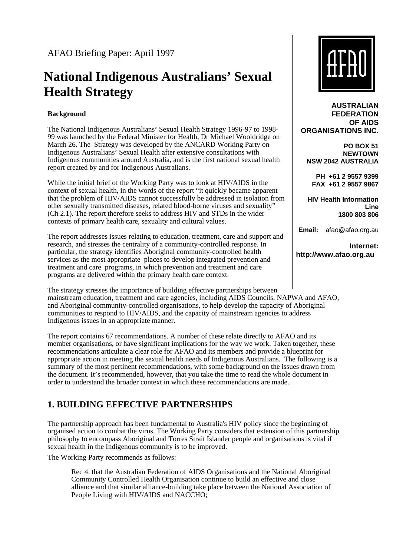# **National Indigenous Australians' Sexual Health Strategy**

#### **Background**

The National Indigenous Australians' Sexual Health Strategy 1996-97 to 1998- 99 was launched by the Federal Minister for Health, Dr Michael Wooldridge on March 26. The Strategy was developed by the ANCARD Working Party on Indigenous Australians' Sexual Health after extensive consultations with Indigenous communities around Australia, and is the first national sexual health report created by and for Indigenous Australians.

While the initial brief of the Working Party was to look at HIV/AIDS in the context of sexual health, in the words of the report "it quickly became apparent that the problem of HIV/AIDS cannot successfully be addressed in isolation from other sexually transmitted diseases, related blood-borne viruses and sexuality" (Ch 2.1). The report therefore seeks to address HIV and STDs in the wider contexts of primary health care, sexuality and cultural values.

The report addresses issues relating to education, treatment, care and support and research, and stresses the centrality of a community-controlled response. In particular, the strategy identifies Aboriginal community-controlled health services as the most appropriate places to develop integrated prevention and treatment and care programs, in which prevention and treatment and care programs are delivered within the primary health care context.

The strategy stresses the importance of building effective partnerships between mainstream education, treatment and care agencies, including AIDS Councils, NAPWA and AFAO, and Aboriginal community-controlled organisations, to help develop the capacity of Aboriginal communities to respond to HIV/AIDS, and the capacity of mainstream agencies to address Indigenous issues in an appropriate manner.

The report contains 67 recommendations. A number of these relate directly to AFAO and its member organisations, or have significant implications for the way we work. Taken together, these recommendations articulate a clear role for AFAO and its members and provide a blueprint for appropriate action in meeting the sexual health needs of Indigenous Australians. The following is a summary of the most pertinent recommendations, with some background on the issues drawn from the document. It's recommended, however, that you take the time to read the whole document in order to understand the broader context in which these recommendations are made.

# **1. BUILDING EFFECTIVE PARTNERSHIPS**

The partnership approach has been fundamental to Australia's HIV policy since the beginning of organised action to combat the virus. The Working Party considers that extension of this partnership philosophy to encompass Aboriginal and Torres Strait Islander people and organisations is vital if sexual health in the Indigenous community is to be improved.

The Working Party recommends as follows:

Rec 4. that the Australian Federation of AIDS Organisations and the National Aboriginal Community Controlled Health Organisation continue to build an effective and close alliance and that similar alliance-building take place between the National Association of People Living with HIV/AIDS and NACCHO;



**AUSTRALIAN FEDERATION OF AIDS ORGANISATIONS INC.**

**PO BOX 51 NEWTOWN NSW 2042 AUSTRALIA** 

**PH +61 2 9557 9399 FAX +61 2 9557 9867** 

**HIV Health Information Line 1800 803 806**

**Email:** afao@afao.org.au

**Internet: http://www.afao.org.au**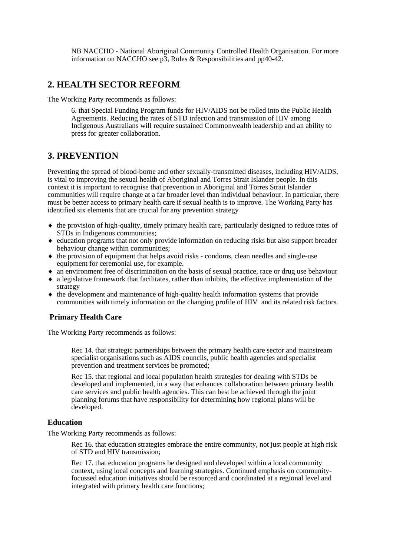NB NACCHO - National Aboriginal Community Controlled Health Organisation. For more information on NACCHO see p3, Roles & Responsibilities and pp40-42.

## **2. HEALTH SECTOR REFORM**

The Working Party recommends as follows:

6. that Special Funding Program funds for HIV/AIDS not be rolled into the Public Health Agreements. Reducing the rates of STD infection and transmission of HIV among Indigenous Australians will require sustained Commonwealth leadership and an ability to press for greater collaboration.

## **3. PREVENTION**

Preventing the spread of blood-borne and other sexually-transmitted diseases, including HIV/AIDS, is vital to improving the sexual health of Aboriginal and Torres Strait Islander people. In this context it is important to recognise that prevention in Aboriginal and Torres Strait Islander communities will require change at a far broader level than individual behaviour. In particular, there must be better access to primary health care if sexual health is to improve. The Working Party has identified six elements that are crucial for any prevention strategy

- ♦ the provision of high-quality, timely primary health care, particularly designed to reduce rates of STDs in Indigenous communities;
- ♦ education programs that not only provide information on reducing risks but also support broader behaviour change within communities;
- ♦ the provision of equipment that helps avoid risks condoms, clean needles and single-use equipment for ceremonial use, for example.
- ♦ an environment free of discrimination on the basis of sexual practice, race or drug use behaviour
- ♦ a legislative framework that facilitates, rather than inhibits, the effective implementation of the strategy
- ♦ the development and maintenance of high-quality health information systems that provide communities with timely information on the changing profile of HIV and its related risk factors.

## **Primary Health Care**

The Working Party recommends as follows:

Rec 14. that strategic partnerships between the primary health care sector and mainstream specialist organisations such as AIDS councils, public health agencies and specialist prevention and treatment services be promoted;

Rec 15. that regional and local population health strategies for dealing with STDs be developed and implemented, in a way that enhances collaboration between primary health care services and public health agencies. This can best be achieved through the joint planning forums that have responsibility for determining how regional plans will be developed.

#### **Education**

The Working Party recommends as follows:

Rec 16. that education strategies embrace the entire community, not just people at high risk of STD and HIV transmission;

Rec 17. that education programs be designed and developed within a local community context, using local concepts and learning strategies. Continued emphasis on communityfocussed education initiatives should be resourced and coordinated at a regional level and integrated with primary health care functions;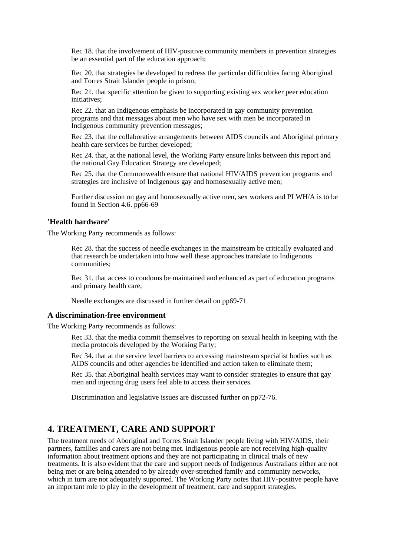Rec 18. that the involvement of HIV-positive community members in prevention strategies be an essential part of the education approach;

Rec 20. that strategies be developed to redress the particular difficulties facing Aboriginal and Torres Strait Islander people in prison;

Rec 21. that specific attention be given to supporting existing sex worker peer education initiatives;

Rec 22. that an Indigenous emphasis be incorporated in gay community prevention programs and that messages about men who have sex with men be incorporated in Indigenous community prevention messages;

Rec 23. that the collaborative arrangements between AIDS councils and Aboriginal primary health care services be further developed;

Rec 24. that, at the national level, the Working Party ensure links between this report and the national Gay Education Strategy are developed;

Rec 25. that the Commonwealth ensure that national HIV/AIDS prevention programs and strategies are inclusive of Indigenous gay and homosexually active men;

Further discussion on gay and homosexually active men, sex workers and PLWH/A is to be found in Section 4.6. pp66-69

#### **'Health hardware'**

The Working Party recommends as follows:

Rec 28. that the success of needle exchanges in the mainstream be critically evaluated and that research be undertaken into how well these approaches translate to Indigenous communities;

Rec 31. that access to condoms be maintained and enhanced as part of education programs and primary health care;

Needle exchanges are discussed in further detail on pp69-71

#### **A discrimination-free environment**

The Working Party recommends as follows:

Rec 33. that the media commit themselves to reporting on sexual health in keeping with the media protocols developed by the Working Party;

Rec 34. that at the service level barriers to accessing mainstream specialist bodies such as AIDS councils and other agencies be identified and action taken to eliminate them;

Rec 35. that Aboriginal health services may want to consider strategies to ensure that gay men and injecting drug users feel able to access their services.

Discrimination and legislative issues are discussed further on pp72-76.

## **4. TREATMENT, CARE AND SUPPORT**

The treatment needs of Aboriginal and Torres Strait Islander people living with HIV/AIDS, their partners, families and carers are not being met. Indigenous people are not receiving high-quality information about treatment options and they are not participating in clinical trials of new treatments. It is also evident that the care and support needs of Indigenous Australians either are not being met or are being attended to by already over-stretched family and community networks, which in turn are not adequately supported. The Working Party notes that HIV-positive people have an important role to play in the development of treatment, care and support strategies.